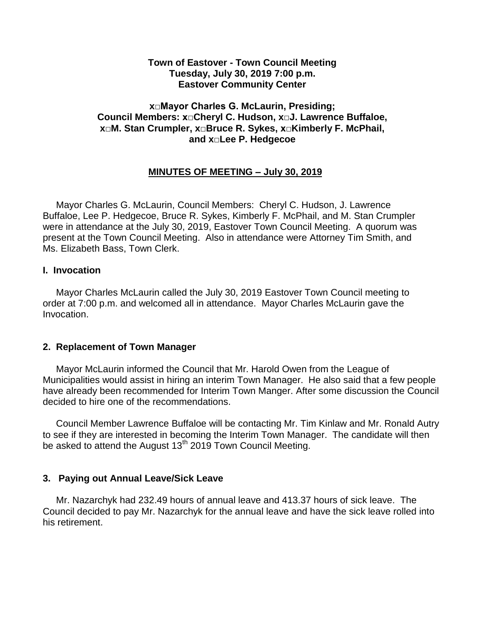#### **Town of Eastover - Town Council Meeting Tuesday, July 30, 2019 7:00 p.m. Eastover Community Center**

#### **x□Mayor Charles G. McLaurin, Presiding; Council Members: x□Cheryl C. Hudson, x□J. Lawrence Buffaloe, x□M. Stan Crumpler, x□Bruce R. Sykes, x□Kimberly F. McPhail, and x□Lee P. Hedgecoe**

# **MINUTES OF MEETING – July 30, 2019**

 Mayor Charles G. McLaurin, Council Members: Cheryl C. Hudson, J. Lawrence Buffaloe, Lee P. Hedgecoe, Bruce R. Sykes, Kimberly F. McPhail, and M. Stan Crumpler were in attendance at the July 30, 2019, Eastover Town Council Meeting. A quorum was present at the Town Council Meeting. Also in attendance were Attorney Tim Smith, and Ms. Elizabeth Bass, Town Clerk.

#### **I. Invocation**

Mayor Charles McLaurin called the July 30, 2019 Eastover Town Council meeting to order at 7:00 p.m. and welcomed all in attendance. Mayor Charles McLaurin gave the Invocation.

# **2. Replacement of Town Manager**

 Mayor McLaurin informed the Council that Mr. Harold Owen from the League of Municipalities would assist in hiring an interim Town Manager. He also said that a few people have already been recommended for Interim Town Manger. After some discussion the Council decided to hire one of the recommendations.

 Council Member Lawrence Buffaloe will be contacting Mr. Tim Kinlaw and Mr. Ronald Autry to see if they are interested in becoming the Interim Town Manager. The candidate will then be asked to attend the August 13<sup>th</sup> 2019 Town Council Meeting.

# **3. Paying out Annual Leave/Sick Leave**

 Mr. Nazarchyk had 232.49 hours of annual leave and 413.37 hours of sick leave. The Council decided to pay Mr. Nazarchyk for the annual leave and have the sick leave rolled into his retirement.